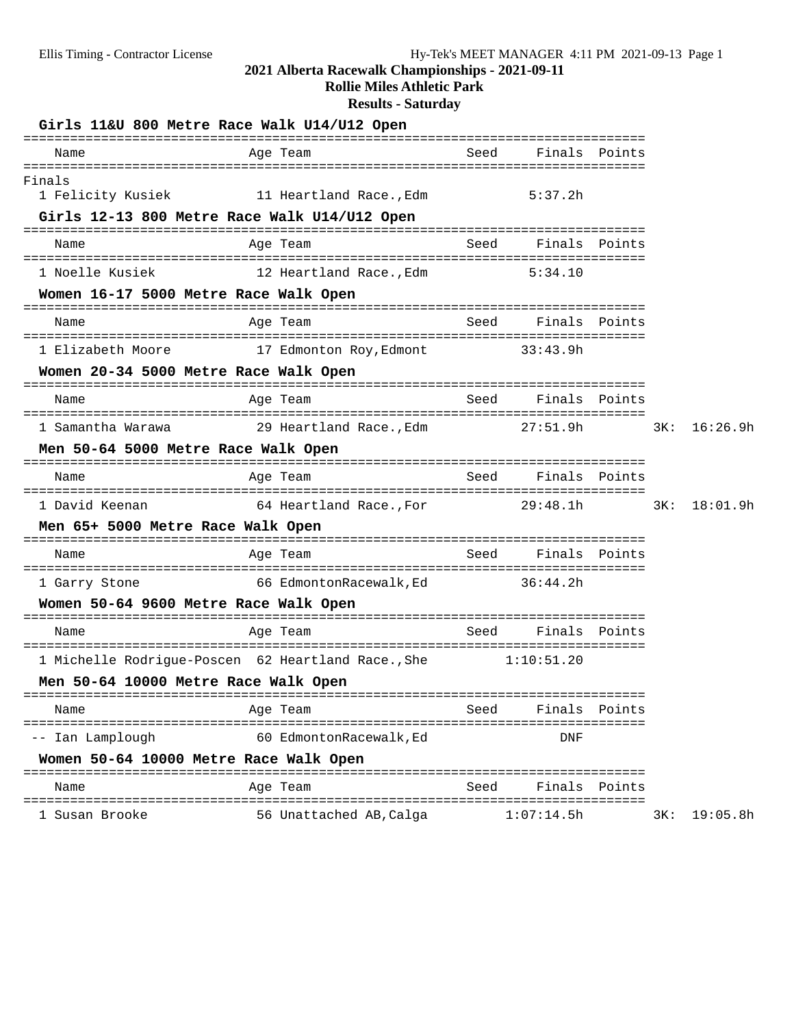#### **2021 Alberta Racewalk Championships - 2021-09-11**

**Rollie Miles Athletic Park**

# **Results - Saturday**

|                                               | Girls 11&U 800 Metre Race Walk U14/U12 Open                   |      |               |               |     |          |
|-----------------------------------------------|---------------------------------------------------------------|------|---------------|---------------|-----|----------|
| Name                                          | Age Team                                                      | Seed | Finals        | Points        |     |          |
| Finals<br>1 Felicity Kusiek                   | 11 Heartland Race., Edm                                       |      | 5:37.2h       |               |     |          |
|                                               | Girls 12-13 800 Metre Race Walk U14/U12 Open                  |      |               |               |     |          |
| Name                                          | Age Team                                                      | Seed |               | Finals Points |     |          |
| 1 Noelle Kusiek                               | 12 Heartland Race.,Edm                                        |      | 5:34.10       |               |     |          |
| Women 16-17 5000 Metre Race Walk Open         | ===========================                                   |      |               |               |     |          |
| Name                                          | Age Team                                                      | Seed |               | Finals Points |     |          |
| 1 Elizabeth Moore                             | 17 Edmonton Roy, Edmont 33:43.9h                              |      |               |               |     |          |
| Women 20-34 5000 Metre Race Walk Open         |                                                               |      |               |               |     |          |
| Name                                          | Age Team                                                      | Seed |               | Finals Points |     |          |
| 1 Samantha Warawa                             | 29 Heartland Race., Edm 27:51.9h                              |      |               |               | 3K: | 16:26.9h |
| Men 50-64 5000 Metre Race Walk Open           |                                                               |      |               |               |     |          |
| Name                                          | Age Team                                                      | Seed | Finals Points |               |     |          |
| 1 David Keenan                                | 64 Heartland Race., For 29:48.1h                              |      |               |               | 3K: | 18:01.9h |
| Men 65+ 5000 Metre Race Walk Open             |                                                               |      |               |               |     |          |
| Name                                          | Age Team                                                      | Seed | Finals Points |               |     |          |
| 1 Garry Stone                                 |                                                               |      |               |               |     |          |
| Women 50-64 9600 Metre Race Walk Open         |                                                               |      |               |               |     |          |
| Name                                          | Age Team                                                      | Seed |               | Finals Points |     |          |
|                                               | 1 Michelle Rodrigue-Poscen 62 Heartland Race., She 1:10:51.20 |      |               |               |     |          |
| Men 50-64 10000 Metre Race Walk Open          |                                                               |      |               |               |     |          |
| Name                                          | Age Team                                                      | Seed |               | Finals Points |     |          |
| =========================<br>-- Ian Lamplough | =================================<br>60 EdmontonRacewalk, Ed  |      | DNF           |               |     |          |
| Women 50-64 10000 Metre Race Walk Open        |                                                               |      |               |               |     |          |
| Name                                          | Age Team                                                      | Seed |               | Finals Points |     |          |
| 1 Susan Brooke                                | 56 Unattached AB, Calga                                       |      | 1:07:14.5h    |               | 3K: | 19:05.8h |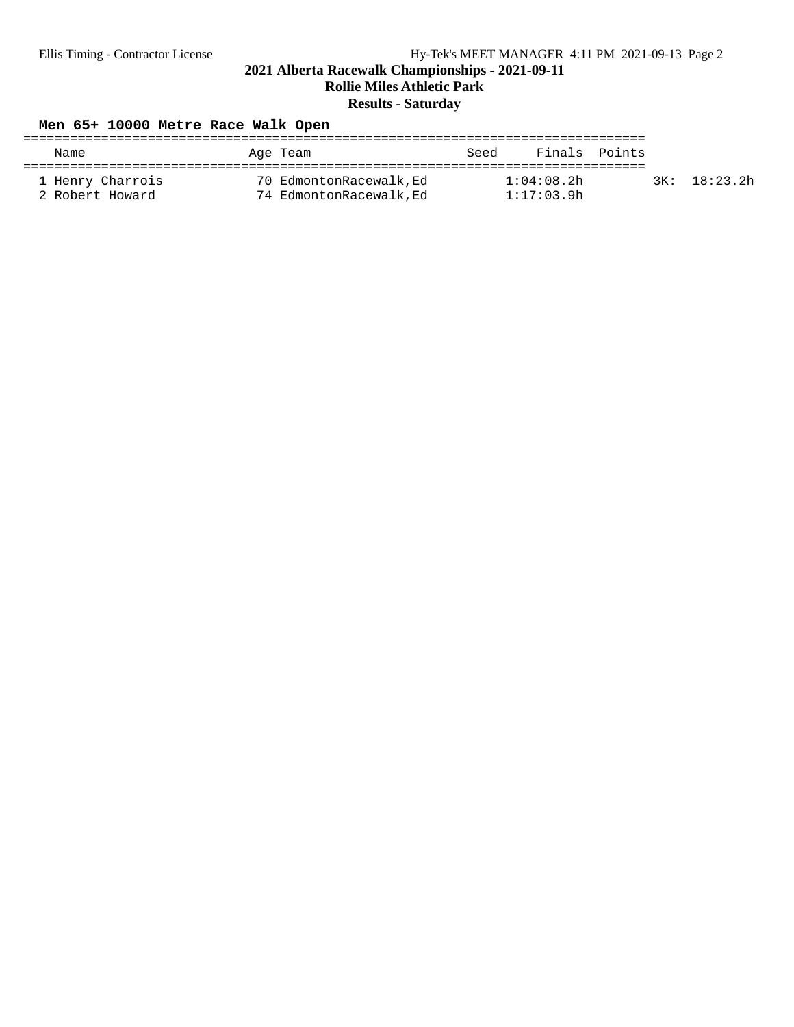# Ellis Timing - Contractor License Hy-Tek's MEET MANAGER 4:11 PM 2021-09-13 Page 2

**2021 Alberta Racewalk Championships - 2021-09-11**

**Rollie Miles Athletic Park**

## **Results - Saturday**

## **Men 65+ 10000 Metre Race Walk Open**

| Name                                | Age Team                                           | Seed                     | Finals Points |              |
|-------------------------------------|----------------------------------------------------|--------------------------|---------------|--------------|
| 1 Henry Charrois<br>2 Robert Howard | 70 EdmontonRacewalk, Ed<br>74 EdmontonRacewalk, Ed | 1:04:08.2h<br>1:17:03.9h |               | 3K: 18:23.2h |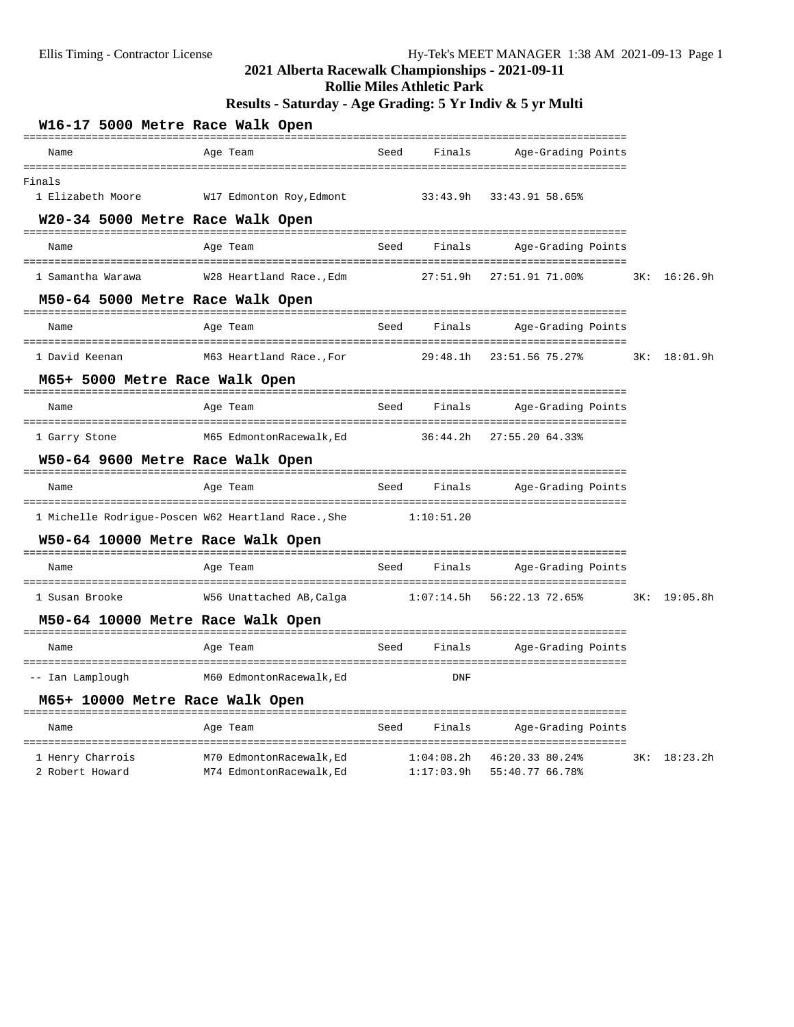| Ellis Timing - Contractor License           | 2021 Alberta Racewalk Championships - 2021-09-11               |            |                                   | Hy-Tek's MEET MANAGER 1:38 AM 2021-09-13 Page 1  |     |              |
|---------------------------------------------|----------------------------------------------------------------|------------|-----------------------------------|--------------------------------------------------|-----|--------------|
|                                             | Results - Saturday - Age Grading: 5 Yr Indiv & 5 yr Multi      |            | <b>Rollie Miles Athletic Park</b> |                                                  |     |              |
|                                             | W16-17 5000 Metre Race Walk Open                               |            |                                   |                                                  |     |              |
| Name                                        | Age Team                                                       | Seed       | Finals                            | Age-Grading Points                               |     |              |
| Finals                                      |                                                                |            |                                   |                                                  |     |              |
| 1 Elizabeth Moore                           | W17 Edmonton Roy, Edmont                                       |            |                                   | 33:43.9h 33:43.91 58.65%                         |     |              |
|                                             | W20-34 5000 Metre Race Walk Open                               |            |                                   |                                                  |     |              |
| Name                                        | Age Team                                                       | Seed       | Finals                            | Age-Grading Points                               |     |              |
| 1 Samantha Warawa                           |                                                                |            |                                   | 27:51.91 71.00%                                  |     | 3K: 16:26.9h |
|                                             | M50-64 5000 Metre Race Walk Open                               |            |                                   |                                                  |     |              |
| Name                                        | Age Team                                                       | Seed       | Finals                            | Age-Grading Points                               |     |              |
| 1 David Keenan                              | M63 Heartland Race.,For 29:48.1h                               |            |                                   | 23:51.56 75.27%                                  | 3K: | 18:01.9h     |
| M65+ 5000 Metre Race Walk Open              |                                                                |            |                                   |                                                  |     |              |
| Name                                        | Age Team                                                       | Seed       | Finals                            | Age-Grading Points                               |     |              |
| 1 Garry Stone                               | M65 EdmontonRacewalk,Ed                                        |            | 36:44.2h                          | 27:55.20 64.33%                                  |     |              |
|                                             | W50-64 9600 Metre Race Walk Open                               |            |                                   |                                                  |     |              |
| Name                                        | Age Team                                                       | Seed       | Finals                            | Age-Grading Points                               |     |              |
|                                             | 1 Michelle Rodrigue-Poscen W62 Heartland Race., She            | 1:10:51.20 |                                   |                                                  |     |              |
|                                             | W50-64 10000 Metre Race Walk Open                              |            |                                   |                                                  |     |              |
| Name                                        | Age Team                                                       | Seed       | Finals                            | Age-Grading Points                               |     |              |
| 1 Susan Brooke                              | W56 Unattached AB, Calga                                       |            |                                   | $1:07:14.5h$ 56:22.13 72.65%                     | 3K: | 19:05.8h     |
|                                             | M50-64 10000 Metre Race Walk Open                              |            |                                   |                                                  |     |              |
| Name                                        | Age Team                                                       | Seed       | Finals                            | ==================<br>Age-Grading Points         |     |              |
| -- Ian Lamplough                            | M60 EdmontonRacewalk, Ed                                       |            | DNF                               | ============================                     |     |              |
| M65+ 10000 Metre Race Walk Open             |                                                                |            |                                   |                                                  |     |              |
| Name                                        | Age Team                                                       | Seed       | Finals                            | Age-Grading Points                               |     |              |
| =======================<br>1 Henry Charrois | ==================================<br>M70 EdmontonRacewalk, Ed |            | 1:04:08.2h                        | =============================<br>46:20.33 80.24% | 3K: | 18:23.2h     |

2 Robert Howard M74 EdmontonRacewalk,Ed 1:17:03.9h 55:40.77 66.78%